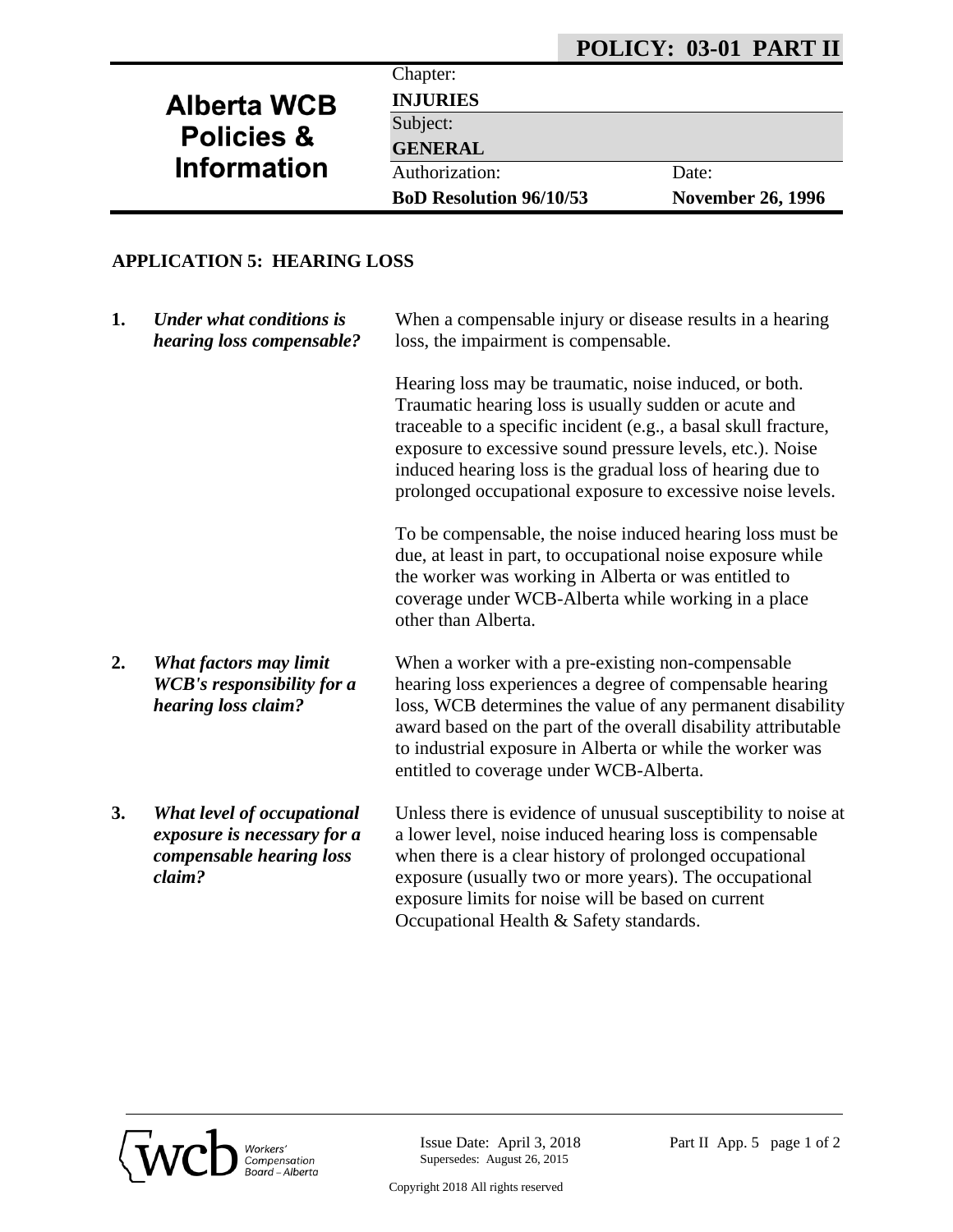## **POLICY: 03-01 PART II**

# **Alberta WCB Policies & Information**

**INJURIES**

Subject:

Chapter:

**GENERAL**

Authorization: Date:

**BoD Resolution 96/10/53 November 26, 1996**

### **APPLICATION 5: HEARING LOSS**

| 1. | <b>Under what conditions is</b><br>hearing loss compensable?                                    | When a compensable injury or disease results in a hearing<br>loss, the impairment is compensable.                                                                                                                                                                                                                                                                           |
|----|-------------------------------------------------------------------------------------------------|-----------------------------------------------------------------------------------------------------------------------------------------------------------------------------------------------------------------------------------------------------------------------------------------------------------------------------------------------------------------------------|
|    |                                                                                                 | Hearing loss may be traumatic, noise induced, or both.<br>Traumatic hearing loss is usually sudden or acute and<br>traceable to a specific incident (e.g., a basal skull fracture,<br>exposure to excessive sound pressure levels, etc.). Noise<br>induced hearing loss is the gradual loss of hearing due to<br>prolonged occupational exposure to excessive noise levels. |
|    |                                                                                                 | To be compensable, the noise induced hearing loss must be<br>due, at least in part, to occupational noise exposure while<br>the worker was working in Alberta or was entitled to<br>coverage under WCB-Alberta while working in a place<br>other than Alberta.                                                                                                              |
| 2. | What factors may limit<br><b>WCB's responsibility for a</b><br>hearing loss claim?              | When a worker with a pre-existing non-compensable<br>hearing loss experiences a degree of compensable hearing<br>loss, WCB determines the value of any permanent disability<br>award based on the part of the overall disability attributable<br>to industrial exposure in Alberta or while the worker was<br>entitled to coverage under WCB-Alberta.                       |
| 3. | What level of occupational<br>exposure is necessary for a<br>compensable hearing loss<br>claim? | Unless there is evidence of unusual susceptibility to noise at<br>a lower level, noise induced hearing loss is compensable<br>when there is a clear history of prolonged occupational<br>exposure (usually two or more years). The occupational<br>exposure limits for noise will be based on current                                                                       |



Occupational Health & Safety standards.